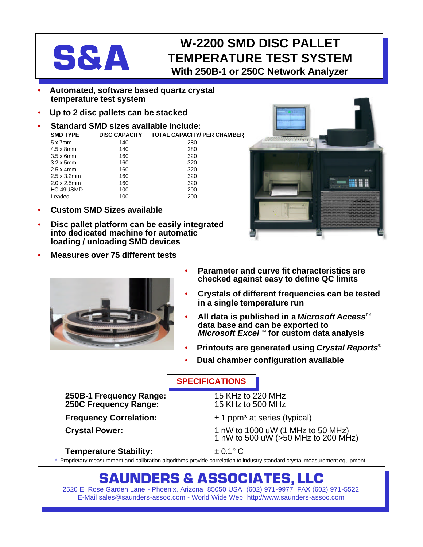## **W-2200 SMD DISC PALLET<br>TEMPERATURE TEST SYSTE<br>With 250B-1 or 250C Network Analyze TEMPERATURE TEST SYSTEM With 250B-1 or 250C Network Analyzer**

- **Automated, software based quartz crystal temperature test system**
- **Up to 2 disc pallets can be stacked**
- **Standard SMD sizes available include: SMD TYPE DISC CAPACITY TOTAL CAPACITY/ PER CHAMBER** 5 x 7mm 140 280

| $4.5 \times 8$ mm   | 140 | 280 |
|---------------------|-----|-----|
| $3.5 \times 6$ mm   | 160 | 320 |
| $3.2 \times 5$ mm   | 160 | 320 |
| $2.5 \times 4$ mm   | 160 | 320 |
| $2.5 \times 3.2$ mm | 160 | 320 |
| $2.0 \times 2.5$ mm | 160 | 320 |
| HC-49USMD           | 100 | 200 |
| Leaded              | 100 | 200 |

- **Custom SMD Sizes available**
- **Disc pallet platform can be easily integrated into dedicated machine for automatic loading / unloading SMD devices**
- **Measures over 75 different tests**





- **Parameter and curve fit characteristics are checked against easy to define QC limits**
- **Crystals of different frequencies can be tested in a single temperature run**
- **All data is published in a** *Microsoft* **Access<sup>™</sup> data base and can be exported to** *Microsoft Excel*™ for custom data analysis
- **Printouts are generated using** *Crystal Reports*®
- **Dual chamber configuration available**

## **SPECIFICATIONS**

**250B-1 Frequency Range:** 15 KHz to 220 MHz **250C Frequency Range:** 

**Frequency Correlation:**  $\pm 1$  ppm<sup>\*</sup> at series (typical)

**Crystal Power:** 1 nW to 1000 uW (1 MHz to 50 MHz) 1 nW to 500 uW (>50 MHz to 200 MHz)

## **Temperature Stability:** ± 0.1° C

Proprietary measurement and calibration algorithms provide correlation to industry standard crystal measurement equipment.

## **SAUNDERS & ASSOCIATES, LLC**

2520 E. Rose Garden Lane - Phoenix, Arizona 85050 USA (602) 971-9977 FAX (602) 971-5522 E-Mail sales@saunders-assoc.com - World Wide Web http://www.saunders-assoc.com